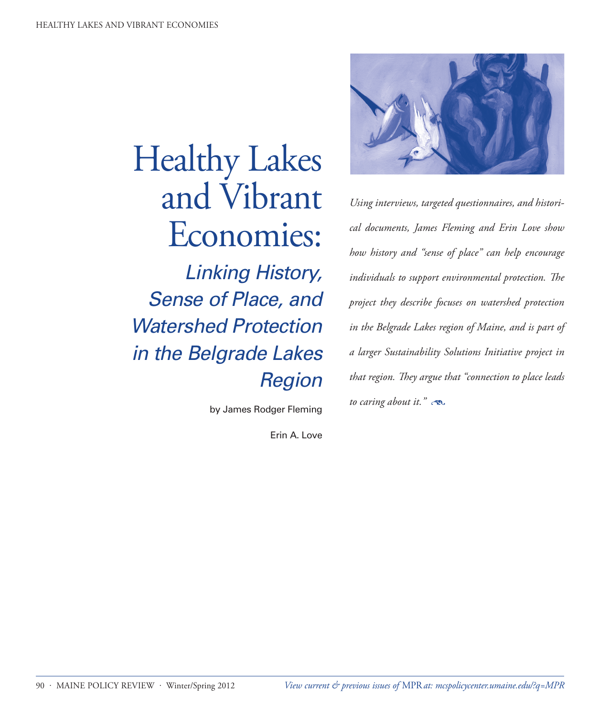# Healthy Lakes and Vibrant Economies:

*Linking History, Sense of Place, and Watershed Protection in the Belgrade Lakes Region*

by James Rodger Fleming

Erin A. Love



*Using interviews, targeted questionnaires, and historical documents, James Fleming and Erin Love show how history and "sense of place" can help encourage individuals to support environmental protection. The project they describe focuses on watershed protection in the Belgrade Lakes region of Maine, and is part of a larger Sustainability Solutions Initiative project in that region. They argue that "connection to place leads to caring about it."*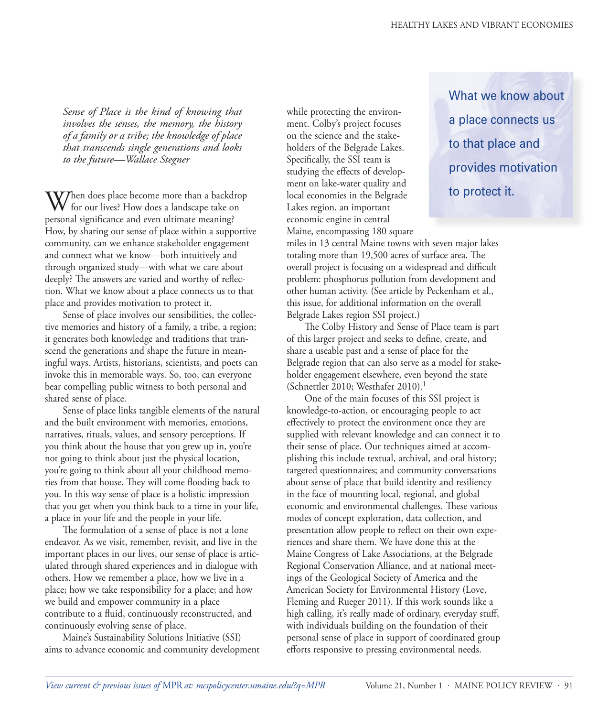*Sense of Place is the kind of knowing that involves the senses, the memory, the history of a family or a tribe; the knowledge of place that transcends single generations and looks to the future—Wallace Stegner*

When does place become more than a backdrop for our lives? How does a landscape take on personal significance and even ultimate meaning? How, by sharing our sense of place within a supportive community, can we enhance stakeholder engagement and connect what we know—both intuitively and through organized study—with what we care about deeply? The answers are varied and worthy of reflection. What we know about a place connects us to that place and provides motivation to protect it.

Sense of place involves our sensibilities, the collective memories and history of a family, a tribe, a region; it generates both knowledge and traditions that transcend the generations and shape the future in meaningful ways. Artists, historians, scientists, and poets can invoke this in memorable ways. So, too, can everyone bear compelling public witness to both personal and shared sense of place.

Sense of place links tangible elements of the natural and the built environment with memories, emotions, narratives, rituals, values, and sensory perceptions. If you think about the house that you grew up in, you're not going to think about just the physical location, you're going to think about all your childhood memories from that house. They will come flooding back to you. In this way sense of place is a holistic impression that you get when you think back to a time in your life, a place in your life and the people in your life.

The formulation of a sense of place is not a lone endeavor. As we visit, remember, revisit, and live in the important places in our lives, our sense of place is articulated through shared experiences and in dialogue with others. How we remember a place, how we live in a place; how we take responsibility for a place; and how we build and empower community in a place contribute to a fluid, continuously reconstructed, and continuously evolving sense of place.

Maine's Sustainability Solutions Initiative (SSI) aims to advance economic and community development while protecting the environment. Colby's project focuses on the science and the stakeholders of the Belgrade Lakes. Specifically, the SSI team is studying the effects of development on lake-water quality and local economies in the Belgrade Lakes region, an important economic engine in central Maine, encompassing 180 square What we know about a place connects us to that place and provides motivation to protect it.

miles in 13 central Maine towns with seven major lakes totaling more than 19,500 acres of surface area. The overall project is focusing on a widespread and difficult problem: phosphorus pollution from development and other human activity. (See article by Peckenham et al., this issue, for additional information on the overall Belgrade Lakes region SSI project.)

The Colby History and Sense of Place team is part of this larger project and seeks to define, create, and share a useable past and a sense of place for the Belgrade region that can also serve as a model for stakeholder engagement elsewhere, even beyond the state (Schnettler 2010; Westhafer 2010).<sup>1</sup>

One of the main focuses of this SSI project is knowledge-to-action, or encouraging people to act effectively to protect the environment once they are supplied with relevant knowledge and can connect it to their sense of place. Our techniques aimed at accomplishing this include textual, archival, and oral history; targeted questionnaires; and community conversations about sense of place that build identity and resiliency in the face of mounting local, regional, and global economic and environmental challenges. These various modes of concept exploration, data collection, and presentation allow people to reflect on their own experiences and share them. We have done this at the Maine Congress of Lake Associations, at the Belgrade Regional Conservation Alliance, and at national meetings of the Geological Society of America and the American Society for Environmental History (Love, Fleming and Rueger 2011). If this work sounds like a high calling, it's really made of ordinary, everyday stuff, with individuals building on the foundation of their personal sense of place in support of coordinated group efforts responsive to pressing environmental needs.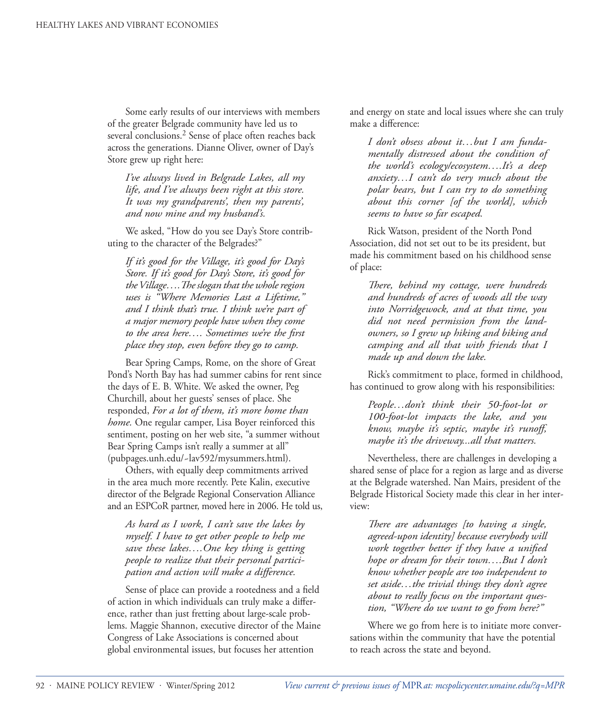Some early results of our interviews with members of the greater Belgrade community have led us to several conclusions.<sup>2</sup> Sense of place often reaches back across the generations. Dianne Oliver, owner of Day's Store grew up right here:

*I've always lived in Belgrade Lakes, all my life, and I've always been right at this store. It was my grandparents', then my parents', and now mine and my husband's.* 

We asked, "How do you see Day's Store contributing to the character of the Belgrades?"

*If it's good for the Village, it's good for Day's Store. If it's good for Day's Store, it's good for the Village….The slogan that the whole region uses is "Where Memories Last a Lifetime," and I think that's true. I think we're part of a major memory people have when they come to the area here…. Sometimes we're the first place they stop, even before they go to camp.* 

Bear Spring Camps, Rome, on the shore of Great Pond's North Bay has had summer cabins for rent since the days of E. B. White. We asked the owner, Peg Churchill, about her guests' senses of place. She responded, *For a lot of them, it's more home than home.* One regular camper, Lisa Boyer reinforced this sentiment, posting on her web site, "a summer without Bear Spring Camps isn't really a summer at all" (pubpages.unh.edu/~lav592/mysummers.html).

Others, with equally deep commitments arrived in the area much more recently. Pete Kalin, executive director of the Belgrade Regional Conservation Alliance and an ESPCoR partner, moved here in 2006. He told us,

*As hard as I work, I can't save the lakes by myself. I have to get other people to help me save these lakes….One key thing is getting people to realize that their personal participation and action will make a difference.*

Sense of place can provide a rootedness and a field of action in which individuals can truly make a difference, rather than just fretting about large-scale problems. Maggie Shannon, executive director of the Maine Congress of Lake Associations is concerned about global environmental issues, but focuses her attention

and energy on state and local issues where she can truly make a difference:

*I don't obsess about it…but I am fundamentally distressed about the condition of the world's ecology/ecosystem….It's a deep anxiety…I can't do very much about the polar bears, but I can try to do something about this corner [of the world], which seems to have so far escaped.* 

Rick Watson, president of the North Pond Association, did not set out to be its president, but made his commitment based on his childhood sense of place:

*There, behind my cottage, were hundreds and hundreds of acres of woods all the way into Norridgewock, and at that time, you did not need permission from the landowners, so I grew up hiking and biking and camping and all that with friends that I made up and down the lake.* 

Rick's commitment to place, formed in childhood, has continued to grow along with his responsibilities:

*People…don't think their 50-foot-lot or 100-foot-lot impacts the lake, and you know, maybe it's septic, maybe it's runoff, maybe it's the driveway...all that matters.* 

Nevertheless, there are challenges in developing a shared sense of place for a region as large and as diverse at the Belgrade watershed. Nan Mairs, president of the Belgrade Historical Society made this clear in her interview:

*There are advantages [to having a single, agreed-upon identity] because everybody will work together better if they have a unified hope or dream for their town….But I don't know whether people are too independent to set aside…the trivial things they don't agree about to really focus on the important question, "Where do we want to go from here?"* 

Where we go from here is to initiate more conversations within the community that have the potential to reach across the state and beyond.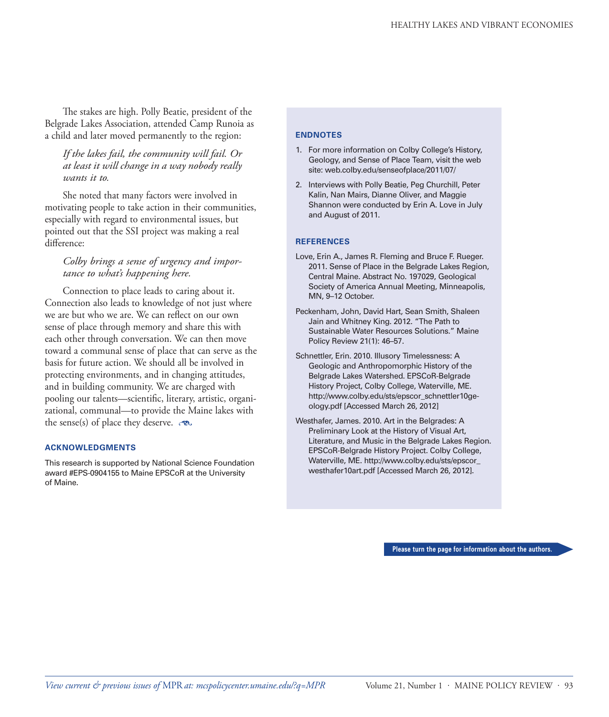The stakes are high. Polly Beatie, president of the Belgrade Lakes Association, attended Camp Runoia as a child and later moved permanently to the region:

*If the lakes fail, the community will fail. Or at least it will change in a way nobody really wants it to.* 

She noted that many factors were involved in motivating people to take action in their communities, especially with regard to environmental issues, but pointed out that the SSI project was making a real difference:

# *Colby brings a sense of urgency and importance to what's happening here.*

Connection to place leads to caring about it. Connection also leads to knowledge of not just where we are but who we are. We can reflect on our own sense of place through memory and share this with each other through conversation. We can then move toward a communal sense of place that can serve as the basis for future action. We should all be involved in protecting environments, and in changing attitudes, and in building community. We are charged with pooling our talents—scientific, literary, artistic, organizational, communal—to provide the Maine lakes with the sense(s) of place they deserve.  $\infty$ 

## **ACKNOWLEDGMENTS**

This research is supported by National Science Foundation award #EPS-0904155 to Maine EPSCoR at the University of Maine.

#### **ENDNOTES**

- 1. For more information on Colby College's History, Geology, and Sense of Place Team, visit the web site: web.colby.edu/senseofplace/2011/07/
- 2. Interviews with Polly Beatie, Peg Churchill, Peter Kalin, Nan Mairs, Dianne Oliver, and Maggie Shannon were conducted by Erin A. Love in July and August of 2011.

## **REFERENCES**

- Love, Erin A., James R. Fleming and Bruce F. Rueger. 2011. Sense of Place in the Belgrade Lakes Region, Central Maine. Abstract No. 197029, Geological Society of America Annual Meeting, Minneapolis, MN, 9–12 October.
- Peckenham, John, David Hart, Sean Smith, Shaleen Jain and Whitney King. 2012. "The Path to Sustainable Water Resources Solutions." Maine Policy Review 21(1): 46–57.
- Schnettler, Erin. 2010. Illusory Timelessness: A Geologic and Anthropomorphic History of the Belgrade Lakes Watershed. EPSCoR-Belgrade History Project, Colby College, Waterville, ME. http://www.colby.edu/sts/epscor\_schnettler10geology.pdf [Accessed March 26, 2012]
- Westhafer, James. 2010. Art in the Belgrades: A Preliminary Look at the History of Visual Art, Literature, and Music in the Belgrade Lakes Region. EPSCoR-Belgrade History Project. Colby College, Waterville, ME. http://www.colby.edu/sts/epscor\_ westhafer10art.pdf [Accessed March 26, 2012].

**Please turn the page for information about the authors.**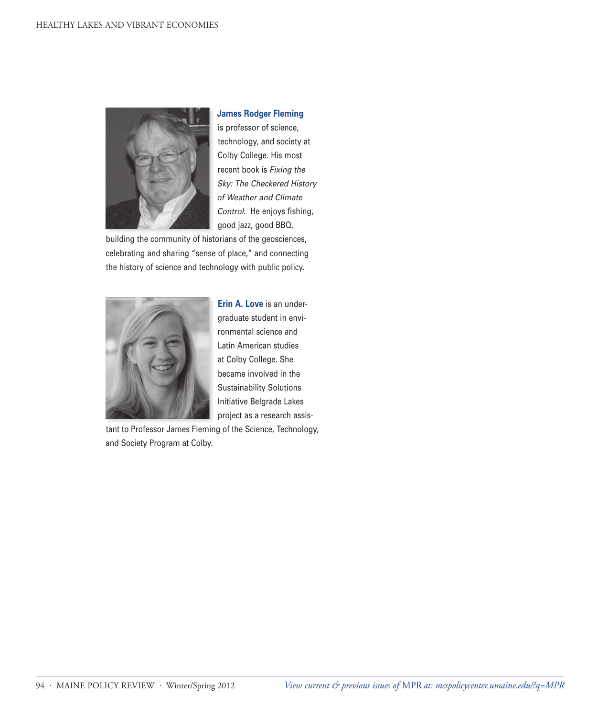

## **James Rodger Fleming**

is professor of science, technology, and society at Colby College. His most recent book is *Fixing the Sky: The Checkered History of Weather and Climate Control*. He enjoys fishing, good jazz, good BBQ,

building the community of historians of the geosciences, celebrating and sharing "sense of place," and connecting the history of science and technology with public policy.



**Erin A. Love** is an undergraduate student in environmental science and Latin American studies at Colby College. She became involved in the Sustainability Solutions Initiative Belgrade Lakes project as a research assis-

tant to Professor James Fleming of the Science, Technology, and Society Program at Colby.